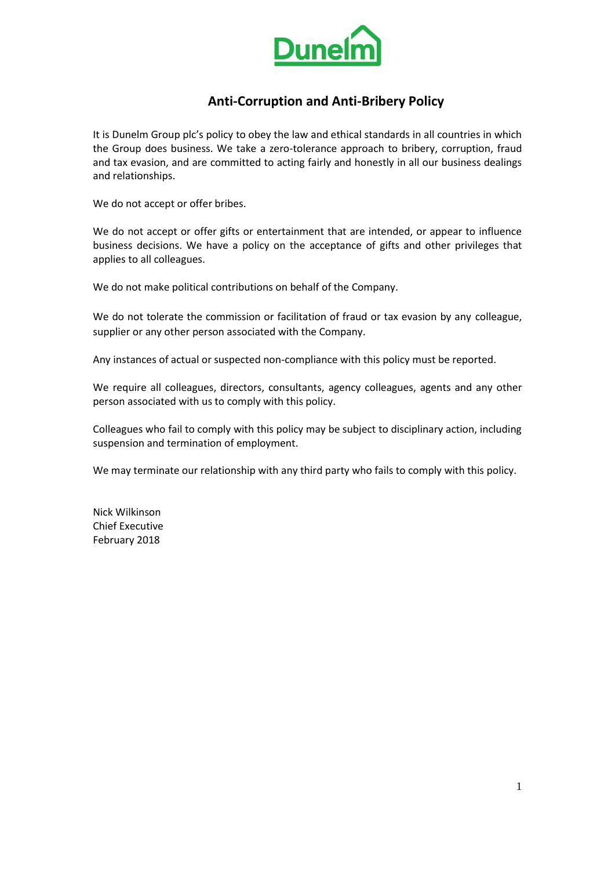

# **Anti-Corruption and Anti-Bribery Policy**

It is Dunelm Group plc's policy to obey the law and ethical standards in all countries in which the Group does business. We take a zero-tolerance approach to bribery, corruption, fraud and tax evasion, and are committed to acting fairly and honestly in all our business dealings and relationships.

We do not accept or offer bribes.

We do not accept or offer gifts or entertainment that are intended, or appear to influence business decisions. We have a policy on the acceptance of gifts and other privileges that applies to all colleagues.

We do not make political contributions on behalf of the Company.

We do not tolerate the commission or facilitation of fraud or tax evasion by any colleague, supplier or any other person associated with the Company.

Any instances of actual or suspected non-compliance with this policy must be reported.

We require all colleagues, directors, consultants, agency colleagues, agents and any other person associated with us to comply with this policy.

Colleagues who fail to comply with this policy may be subject to disciplinary action, including suspension and termination of employment.

We may terminate our relationship with any third party who fails to comply with this policy.

Nick Wilkinson Chief Executive February 2018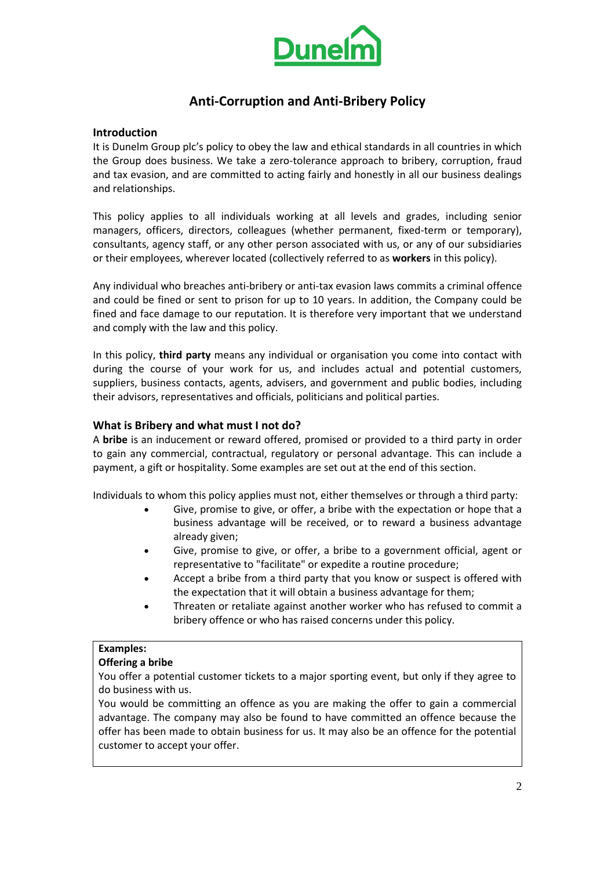

# **Anti-Corruption and Anti-Bribery Policy**

### **Introduction**

It is Dunelm Group plc's policy to obey the law and ethical standards in all countries in which the Group does business. We take a zero-tolerance approach to bribery, corruption, fraud and tax evasion, and are committed to acting fairly and honestly in all our business dealings and relationships.

This policy applies to all individuals working at all levels and grades, including senior managers, officers, directors, colleagues (whether permanent, fixed-term or temporary), consultants, agency staff, or any other person associated with us, or any of our subsidiaries or their employees, wherever located (collectively referred to as **workers** in this policy).

Any individual who breaches anti-bribery or anti-tax evasion laws commits a criminal offence and could be fined or sent to prison for up to 10 years. In addition, the Company could be fined and face damage to our reputation. It is therefore very important that we understand and comply with the law and this policy.

In this policy, **third party** means any individual or organisation you come into contact with during the course of your work for us, and includes actual and potential customers, suppliers, business contacts, agents, advisers, and government and public bodies, including their advisors, representatives and officials, politicians and political parties.

### **What is Bribery and what must I not do?**

A **bribe** is an inducement or reward offered, promised or provided to a third party in order to gain any commercial, contractual, regulatory or personal advantage. This can include a payment, a gift or hospitality. Some examples are set out at the end of this section.

Individuals to whom this policy applies must not, either themselves or through a third party:

- Give, promise to give, or offer, a bribe with the expectation or hope that a business advantage will be received, or to reward a business advantage already given;
- Give, promise to give, or offer, a bribe to a government official, agent or representative to "facilitate" or expedite a routine procedure;
- Accept a bribe from a third party that you know or suspect is offered with the expectation that it will obtain a business advantage for them;
- Threaten or retaliate against another worker who has refused to commit a bribery offence or who has raised concerns under this policy.

### **Examples:**

### **Offering a bribe**

You offer a potential customer tickets to a major sporting event, but only if they agree to do business with us.

You would be committing an offence as you are making the offer to gain a commercial advantage. The company may also be found to have committed an offence because the offer has been made to obtain business for us. It may also be an offence for the potential customer to accept your offer.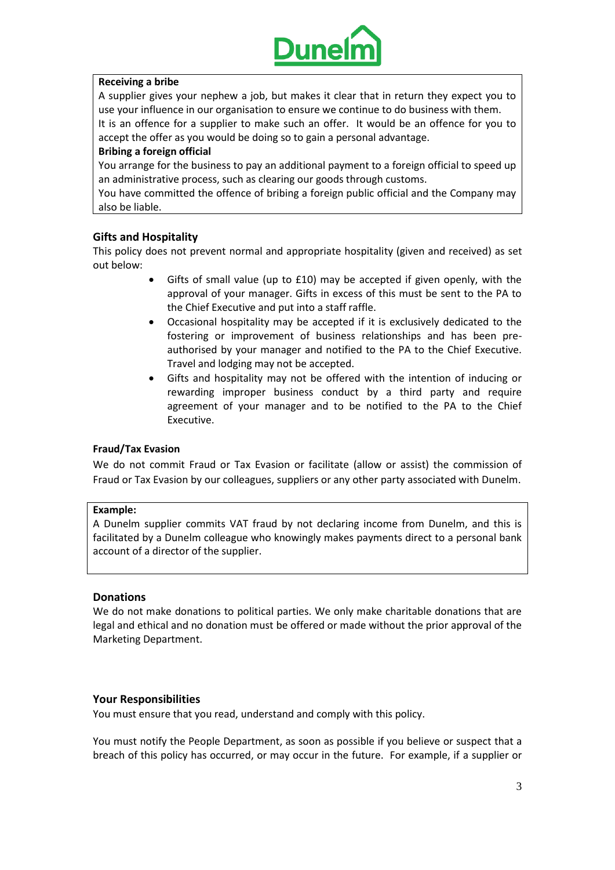

### **Receiving a bribe**

A supplier gives your nephew a job, but makes it clear that in return they expect you to use your influence in our organisation to ensure we continue to do business with them. It is an offence for a supplier to make such an offer. It would be an offence for you to accept the offer as you would be doing so to gain a personal advantage.

### **Bribing a foreign official**

You arrange for the business to pay an additional payment to a foreign official to speed up an administrative process, such as clearing our goods through customs.

You have committed the offence of bribing a foreign public official and the Company may also be liable.

## **Gifts and Hospitality**

This policy does not prevent normal and appropriate hospitality (given and received) as set out below:

- Gifts of small value (up to £10) may be accepted if given openly, with the approval of your manager. Gifts in excess of this must be sent to the PA to the Chief Executive and put into a staff raffle.
- Occasional hospitality may be accepted if it is exclusively dedicated to the fostering or improvement of business relationships and has been preauthorised by your manager and notified to the PA to the Chief Executive. Travel and lodging may not be accepted.
- Gifts and hospitality may not be offered with the intention of inducing or rewarding improper business conduct by a third party and require agreement of your manager and to be notified to the PA to the Chief Executive.

### **Fraud/Tax Evasion**

We do not commit Fraud or Tax Evasion or facilitate (allow or assist) the commission of Fraud or Tax Evasion by our colleagues, suppliers or any other party associated with Dunelm.

### **Example:**

A Dunelm supplier commits VAT fraud by not declaring income from Dunelm, and this is facilitated by a Dunelm colleague who knowingly makes payments direct to a personal bank account of a director of the supplier.

### **Donations**

We do not make donations to political parties. We only make charitable donations that are legal and ethical and no donation must be offered or made without the prior approval of the Marketing Department.

### **Your Responsibilities**

You must ensure that you read, understand and comply with this policy.

You must notify the People Department, as soon as possible if you believe or suspect that a breach of this policy has occurred, or may occur in the future. For example, if a supplier or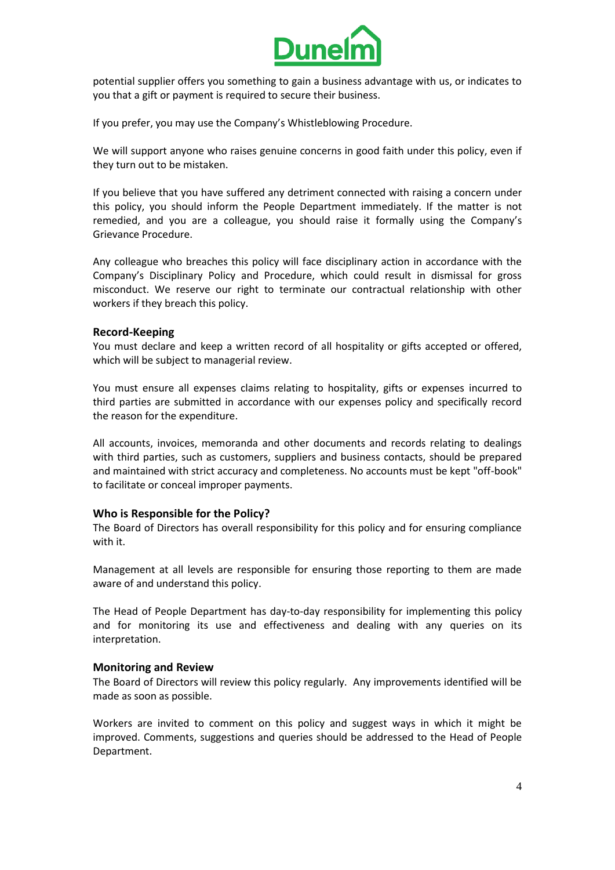

potential supplier offers you something to gain a business advantage with us, or indicates to you that a gift or payment is required to secure their business.

If you prefer, you may use the Company's Whistleblowing Procedure.

We will support anyone who raises genuine concerns in good faith under this policy, even if they turn out to be mistaken.

If you believe that you have suffered any detriment connected with raising a concern under this policy, you should inform the People Department immediately. If the matter is not remedied, and you are a colleague, you should raise it formally using the Company's Grievance Procedure.

Any colleague who breaches this policy will face disciplinary action in accordance with the Company's Disciplinary Policy and Procedure, which could result in dismissal for gross misconduct. We reserve our right to terminate our contractual relationship with other workers if they breach this policy.

#### **Record-Keeping**

You must declare and keep a written record of all hospitality or gifts accepted or offered, which will be subject to managerial review.

You must ensure all expenses claims relating to hospitality, gifts or expenses incurred to third parties are submitted in accordance with our expenses policy and specifically record the reason for the expenditure.

All accounts, invoices, memoranda and other documents and records relating to dealings with third parties, such as customers, suppliers and business contacts, should be prepared and maintained with strict accuracy and completeness. No accounts must be kept "off-book" to facilitate or conceal improper payments.

### **Who is Responsible for the Policy?**

The Board of Directors has overall responsibility for this policy and for ensuring compliance with it.

Management at all levels are responsible for ensuring those reporting to them are made aware of and understand this policy.

The Head of People Department has day-to-day responsibility for implementing this policy and for monitoring its use and effectiveness and dealing with any queries on its interpretation.

#### **Monitoring and Review**

The Board of Directors will review this policy regularly. Any improvements identified will be made as soon as possible.

Workers are invited to comment on this policy and suggest ways in which it might be improved. Comments, suggestions and queries should be addressed to the Head of People Department.